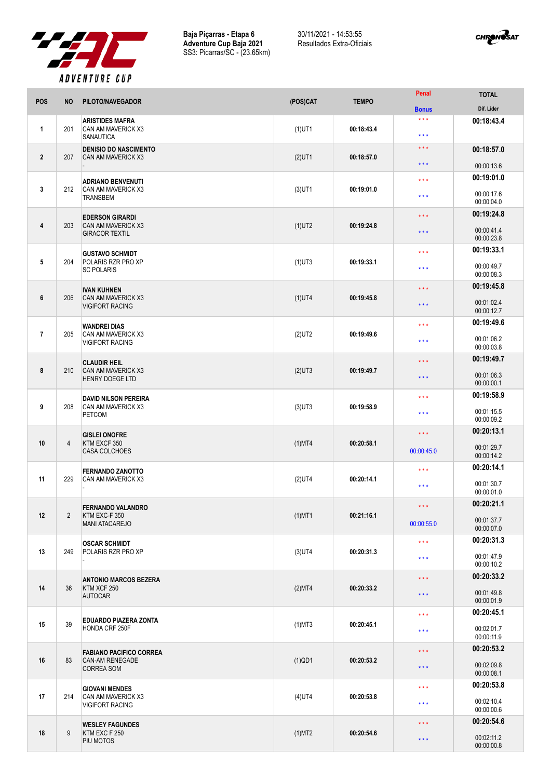

30/11/2021 - 14:53:55 Resultados Extra-Oficiais



|                |                |                                                                  |           |              | Penal                   | <b>TOTAL</b>             |
|----------------|----------------|------------------------------------------------------------------|-----------|--------------|-------------------------|--------------------------|
| POS            | <b>NO</b>      | PILOTO/NAVEGADOR                                                 | (POS)CAT  | <b>TEMPO</b> | <b>Bonus</b>            | Dif. Lider               |
| 1              | 201            | <b>ARISTIDES MAFRA</b><br>CAN AM MAVERICK X3<br><b>SANAUTICA</b> | $(1)$ UT1 | 00:18:43.4   | $***$<br>$***$          | 00:18:43.4               |
|                |                | <b>DENISIO DO NASCIMENTO</b>                                     |           |              | $\star \star \star$     | 00:18:57.0               |
| $\overline{2}$ | 207            | CAN AM MAVERICK X3                                               | $(2)$ UT1 | 00:18:57.0   | $***$                   | 00:00:13.6               |
|                |                | <b>ADRIANO BENVENUTI</b>                                         |           |              | $***$                   | 00:19:01.0               |
| 3              | 212            | CAN AM MAVERICK X3<br><b>TRANSBEM</b>                            | $(3)$ UT1 | 00:19:01.0   | $***$                   | 00:00:17.6<br>00:00:04.0 |
|                |                | <b>EDERSON GIRARDI</b>                                           |           |              | $***$                   | 00:19:24.8               |
| 4              | 203            | CAN AM MAVERICK X3<br><b>GIRACOR TEXTIL</b>                      | $(1)$ UT2 | 00:19:24.8   | $\star \star \star$     | 00:00:41.4<br>00:00:23.8 |
|                |                | <b>GUSTAVO SCHMIDT</b>                                           |           |              | $***$                   | 00:19:33.1               |
| $\sqrt{5}$     | 204            | POLARIS RZR PRO XP<br><b>SC POLARIS</b>                          | $(1)$ UT3 | 00:19:33.1   | $***$                   | 00:00:49.7<br>00:00:08.3 |
|                |                | <b>IVAN KUHNEN</b>                                               |           |              | $***$                   | 00:19:45.8               |
| $\bf 6$        | 206            | CAN AM MAVERICK X3<br><b>VIGIFORT RACING</b>                     | $(1)$ UT4 | 00:19:45.8   | $***$                   | 00:01:02.4<br>00:00:12.7 |
|                |                | <b>WANDREI DIAS</b>                                              |           |              | $***$                   | 00:19:49.6               |
| $\overline{1}$ | 205            | CAN AM MAVERICK X3<br><b>VIGIFORT RACING</b>                     | $(2)$ UT2 | 00:19:49.6   | $***$                   | 00:01:06.2<br>00:00:03.8 |
|                |                | <b>CLAUDIR HEIL</b>                                              |           |              | $***$                   | 00:19:49.7               |
| 8              | 210            | CAN AM MAVERICK X3<br>HENRY DOEGE LTD                            | $(2)$ UT3 | 00:19:49.7   | $***$                   | 00:01:06.3<br>00:00:00.1 |
|                |                | <b>DAVID NILSON PEREIRA</b>                                      |           | 00:19:58.9   | $***$                   | 00:19:58.9               |
| 9              | 208            | CAN AM MAVERICK X3<br><b>PETCOM</b>                              | $(3)$ UT3 |              | $***$                   | 00:01:15.5<br>00:00:09.2 |
|                |                | <b>GISLEI ONOFRE</b>                                             |           |              | $\star \star \star$     | 00:20:13.1               |
| 10             | 4              | KTM EXCF 350<br>CASA COLCHOES                                    | $(1)$ MT4 | 00:20:58.1   | 00:00:45.0              | 00:01:29.7<br>00:00:14.2 |
|                |                | <b>FERNANDO ZANOTTO</b>                                          |           |              | $***$                   | 00:20:14.1               |
| 11             | 229            | CAN AM MAVERICK X3                                               | $(2)$ UT4 | 00:20:14.1   | $***$                   | 00:01:30.7<br>00:00:01.0 |
|                |                | <b>FERNANDO VALANDRO</b>                                         |           |              | $\star$ $\star$ $\star$ | 00:20:21.1               |
| 12             | $\overline{2}$ | KTM EXC-F 350<br><b>MANI ATACAREJO</b>                           | $(1)$ MT1 | 00:21:16.1   | 00:00:55.0              | 00:01:37.7<br>00:00:07.0 |
|                |                | <b>OSCAR SCHMIDT</b>                                             |           |              | $\star\star\star$       | 00:20:31.3               |
| 13             | 249            | POLARIS RZR PRO XP                                               | $(3)$ UT4 | 00:20:31.3   | $\star$ $\star$ $\star$ | 00:01:47.9<br>00:00:10.2 |
|                |                | <b>ANTONIO MARCOS BEZERA</b>                                     |           |              | $***$                   | 00:20:33.2               |
| 14             | 36             | KTM XCF 250<br><b>AUTOCAR</b>                                    | (2)MT4    | 00:20:33.2   | $***$                   | 00:01:49.8<br>00:00:01.9 |
|                |                |                                                                  |           |              | $\star$ $\star$ $\star$ | 00:20:45.1               |
| 15             | 39             | EDUARDO PIAZERA ZONTA<br>HONDA CRF 250F                          | $(1)$ MT3 | 00:20:45.1   | $\star$ $\star$ $\star$ | 00:02:01.7<br>00:00:11.9 |
|                |                | <b>FABIANO PACIFICO CORREA</b>                                   |           | 00:20:53.2   | $\star$ $\star$ $\star$ | 00:20:53.2               |
| 16             | 83             | CAN-AM RENEGADE<br><b>CORREA SOM</b>                             | $(1)$ QD1 |              | $\star$ $\star$ $\star$ | 00:02:09.8<br>00:00:08.1 |
|                |                | <b>GIOVANI MENDES</b>                                            |           | 00:20:53.8   | $***$                   | 00:20:53.8               |
| 17             | 214            | CAN AM MAVERICK X3<br><b>VIGIFORT RACING</b>                     | $(4)$ UT4 |              | $\star\star\star$       | 00:02:10.4<br>00:00:00.6 |
|                |                | <b>WESLEY FAGUNDES</b><br>9<br>KTM EXC F 250<br>PIU MOTOS        | $(1)$ MT2 | 00:20:54.6   | $\star \star \star$     | 00:20:54.6               |
| 18             |                |                                                                  |           |              | $***$                   | 00:02:11.2<br>00:00:00.8 |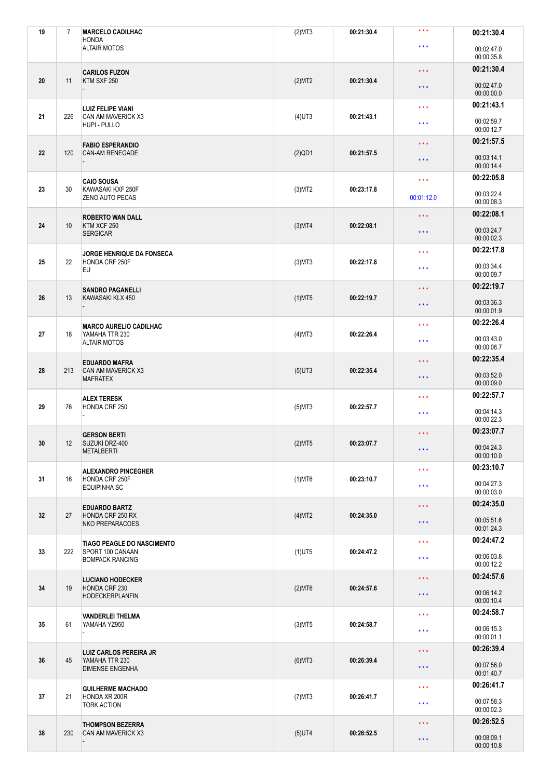| 19 | $\overline{7}$ | <b>MARCELO CADILHAC</b><br><b>HONDA</b>                            | (2)MT3       | 00:21:30.4                      | $***$                   | 00:21:30.4               |
|----|----------------|--------------------------------------------------------------------|--------------|---------------------------------|-------------------------|--------------------------|
|    |                | <b>ALTAIR MOTOS</b>                                                |              |                                 | $***$                   | 00:02:47.0<br>00:00:35.8 |
|    |                | <b>CARILOS FUZON</b>                                               |              |                                 | $\star$ $\star$ $\star$ | 00:21:30.4               |
| 20 | 11             | KTM SXF 250                                                        | (2)MT2       | 00:21:30.4                      | $\star$ $\star$ $\star$ | 00:02:47.0<br>00:00:00.0 |
| 21 |                | <b>LUIZ FELIPE VIANI</b>                                           |              | 00:21:43.1                      | $\star\star\star$       | 00:21:43.1               |
|    | 226            | CAN AM MAVERICK X3<br>HUPI - PULLO                                 | $(4)$ UT3    |                                 | $\star\star\star$       | 00:02:59.7<br>00:00:12.7 |
|    |                | <b>FABIO ESPERANDIO</b>                                            |              |                                 | $\star$ $\star$ $\star$ | 00:21:57.5               |
| 22 | 120            | <b>CAN-AM RENEGADE</b>                                             | $(2)$ QD1    | 00:21:57.5                      | $\star \star \star$     | 00:03:14.1<br>00:00:14.4 |
| 23 | 30             | <b>CAIO SOUSA</b><br>KAWASAKI KXF 250F                             | $(3)$ MT2    | 00:23:17.8                      | $\star\star\star$       | 00:22:05.8               |
|    |                | ZENO AUTO PECAS                                                    |              |                                 | 00:01:12.0              | 00:03:22.4<br>00:00:08.3 |
| 24 | 10             | <b>ROBERTO WAN DALL</b><br>KTM XCF 250                             | $(3)$ MT4    | 00:22:08.1                      | $\star \star \star$     | 00:22:08.1               |
|    |                | <b>SERGICAR</b>                                                    |              |                                 | $\star \star \star$     | 00:03:24.7<br>00:00:02.3 |
| 25 | 22             | <b>JORGE HENRIQUE DA FONSECA</b><br>HONDA CRF 250F                 | $(3)$ MT $3$ | 00:22:17.8                      | $***$                   | 00:22:17.8               |
|    |                | EU                                                                 |              |                                 | $***$                   | 00:03:34.4<br>00:00:09.7 |
|    |                | <b>SANDRO PAGANELLI</b>                                            |              |                                 | $\star$ $\star$ $\star$ | 00:22:19.7               |
| 26 | 13             | KAWASAKI KLX 450                                                   | $(1)$ MT5    | 00:22:19.7                      | $\star \star \star$     | 00:03:36.3<br>00:00:01.9 |
|    |                | <b>MARCO AURELIO CADILHAC</b>                                      |              |                                 | $\star\star\star$       | 00:22:26.4               |
| 27 | 18             | YAMAHA TTR 230<br><b>ALTAIR MOTOS</b>                              | $(4)$ MT3    | 00:22:26.4                      | $***$                   | 00:03:43.0<br>00:00:06.7 |
|    |                | <b>EDUARDO MAFRA</b>                                               |              |                                 | $\star \star \star$     | 00:22:35.4               |
| 28 | 213            | CAN AM MAVERICK X3<br><b>MAFRATEX</b>                              | $(5)$ UT3    | 00:22:35.4                      | $\star \star \star$     | 00:03:52.0<br>00:00:09.0 |
| 29 |                | <b>ALEX TERESK</b>                                                 |              | $\star\star\star$<br>00:22:57.7 | 00:22:57.7              |                          |
|    | 76             | HONDA CRF 250                                                      | $(5)$ MT3    |                                 | $***$                   | 00:04:14.3<br>00:00:22.3 |
|    |                | <b>GERSON BERTI</b>                                                |              |                                 | $\star$ $\star$ $\star$ | 00:23:07.7               |
| 30 | 12             | SUZUKI DRZ-400<br><b>METALBERTI</b>                                | (2)MT5       | 00:23:07.7                      | $\star$ $\star$ $\star$ | 00:04:24.3<br>00:00:10.0 |
| 31 | 16             | <b>ALEXANDRO PINCEGHER</b><br>HONDA CRF 250F                       | $(1)$ MT6    | 00:23:10.7                      | $\star$ $\star$ $\star$ | 00:23:10.7               |
|    |                | <b>EQUIPINHA SC</b>                                                |              |                                 | $***$                   | 00:04:27.3<br>00:00:03.0 |
|    |                | <b>EDUARDO BARTZ</b>                                               |              |                                 | $***$                   | 00:24:35.0               |
| 32 | 27             | HONDA CRF 250 RX<br>NKO PREPARACOES                                | (4)MT2       | 00:24:35.0                      | $\star$ $\star$ $\star$ | 00:05:51.6<br>00:01:24.3 |
|    |                | <b>TIAGO PEAGLE DO NASCIMENTO</b>                                  |              |                                 | $\star$ $\star$ $\star$ | 00:24:47.2               |
| 33 | 222            | SPORT 100 CANAAN<br><b>BOMPACK RANCING</b>                         | $(1)$ UT5    | 00:24:47.2                      | $\star$ $\star$ $\star$ | 00:06:03.8<br>00:00:12.2 |
|    |                | <b>LUCIANO HODECKER</b>                                            |              |                                 | $\star$ $\star$ $\star$ | 00:24:57.6               |
| 34 | 19             | HONDA CRF 230<br><b>HODECKERPLANFIN</b>                            | $(2)$ MT6    | 00:24:57.6                      | $\star \star \star$     | 00:06:14.2<br>00:00:10.4 |
|    | 61             | <b>VANDERLEI THELMA</b><br>YAMAHA YZ950                            | $(3)$ MT5    | 00:24:58.7                      | $\star\star\star$       | 00:24:58.7               |
| 35 |                |                                                                    |              |                                 | $\star$ $\star$ $\star$ | 00:06:15.3<br>00:00:01.1 |
|    | 45             | LUIZ CARLOS PEREIRA JR<br>YAMAHA TTR 230<br><b>DIMENSE ENGENHA</b> | $(6)$ MT3    | 00:26:39.4                      | $\star$ $\star$ $\star$ | 00:26:39.4               |
| 36 |                |                                                                    |              |                                 | $\star$ $\star$ $\star$ | 00:07:56.0<br>00:01:40.7 |
|    |                | <b>GUILHERME MACHADO</b>                                           |              | 00:26:41.7                      | $***$                   | 00:26:41.7               |
| 37 | 21             | HONDA XR 200R<br><b>TORK ACTION</b>                                | $(7)$ MT3    |                                 | $\star\star\star$       | 00:07:58.3<br>00:00:02.3 |
|    |                | <b>THOMPSON BEZERRA</b><br>CAN AM MAVERICK X3                      |              | 00:26:52.5                      | $***$                   | 00:26:52.5               |
| 38 | 230            |                                                                    | $(5)$ UT4    |                                 | $\star$ $\star$ $\star$ | 00:08:09.1<br>00:00:10.8 |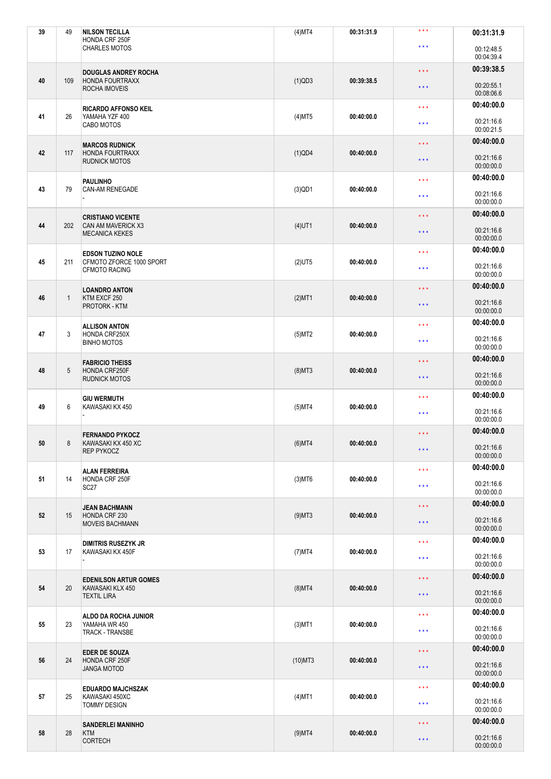| 39 | 49           | <b>NILSON TECILLA</b><br>HONDA CRF 250F                         | (4)MT4                  | 00:31:31.9 | $***$                   | 00:31:31.9               |
|----|--------------|-----------------------------------------------------------------|-------------------------|------------|-------------------------|--------------------------|
|    |              | <b>CHARLES MOTOS</b>                                            |                         |            | $***$                   | 00:12:48.5<br>00:04:39.4 |
|    |              | <b>DOUGLAS ANDREY ROCHA</b>                                     |                         |            | $\star \star \star$     | 00:39:38.5               |
| 40 | 109          | <b>HONDA FOURTRAXX</b><br>ROCHA IMOVEIS                         | $(1)$ QD3               | 00:39:38.5 | $\star \star \star$     | 00:20:55.1<br>00:08:06.6 |
|    |              | <b>RICARDO AFFONSO KEIL</b>                                     |                         |            | $***$                   | 00:40:00.0               |
| 41 | 26           | YAMAHA YZF 400<br>CABO MOTOS                                    | $(4)$ MT5               | 00:40:00.0 | $***$                   | 00:21:16.6<br>00:00:21.5 |
|    |              | <b>MARCOS RUDNICK</b>                                           |                         |            | $\star \star \star$     | 00:40:00.0               |
| 42 | 117          | <b>HONDA FOURTRAXX</b><br><b>RUDNICK MOTOS</b>                  | $(1)$ QD4               | 00:40:00.0 | $***$                   | 00:21:16.6<br>00:00:00.0 |
| 43 | 79           | <b>PAULINHO</b><br>CAN-AM RENEGADE                              |                         | 00:40:00.0 | $***$                   | 00:40:00.0               |
|    |              |                                                                 | $(3)$ QD1               |            | $***$                   | 00:21:16.6<br>00:00:00.0 |
| 44 | 202          | <b>CRISTIANO VICENTE</b><br>CAN AM MAVERICK X3                  | $(4)$ UT1               | 00:40:00.0 | $***$                   | 00:40:00.0               |
|    |              | <b>MECANICA KEKES</b>                                           |                         |            | $***$                   | 00:21:16.6<br>00:00:00.0 |
|    |              | <b>EDSON TUZINO NOLE</b>                                        |                         |            | $***$                   | 00:40:00.0               |
| 45 | 211          | CFMOTO ZFORCE 1000 SPORT<br><b>CFMOTO RACING</b>                | $(2)$ UT5               | 00:40:00.0 | $***$                   | 00:21:16.6<br>00:00:00.0 |
|    |              | <b>LOANDRO ANTON</b>                                            |                         |            | $\star \star \star$     | 00:40:00.0               |
| 46 | $\mathbf{1}$ | KTM EXCF 250<br>PROTORK - KTM                                   | $(2)$ MT1               | 00:40:00.0 | $***$                   | 00:21:16.6<br>00:00:00.0 |
|    |              | <b>ALLISON ANTON</b>                                            |                         |            | $***$                   | 00:40:00.0               |
| 47 | 3            | HONDA CRF250X<br><b>BINHO MOTOS</b>                             | $(5)$ MT2               | 00:40:00.0 | $***$                   | 00:21:16.6<br>00:00:00.0 |
|    |              | <b>FABRICIO THEISS</b>                                          |                         | 00:40:00.0 | $***$                   | 00:40:00.0               |
| 48 | 5            | HONDA CRF250F<br><b>RUDNICK MOTOS</b>                           | $(8)$ MT3               |            | $***$                   | 00:21:16.6<br>00:00:00.0 |
|    |              | <b>GIU WERMUTH</b>                                              |                         |            | $***$                   | 00:40:00.0               |
| 49 | 6            | KAWASAKI KX 450                                                 | $(5)$ MT4               | 00:40:00.0 | $***$                   | 00:21:16.6<br>00:00:00.0 |
|    |              | <b>FERNANDO PYKOCZ</b>                                          |                         |            | $\star \star \star$     | 00:40:00.0               |
| 50 | 8            | KAWASAKI KX 450 XC<br><b>REP PYKOCZ</b>                         | $(6)$ MT4               | 00:40:00.0 | $***$                   | 00:21:16.6<br>00:00:00.0 |
|    |              | <b>ALAN FERREIRA</b>                                            |                         |            | $***$                   | 00:40:00.0               |
| 51 | 14           | HONDA CRF 250F<br>SC <sub>27</sub>                              | $(3)$ MT6               | 00:40:00.0 | $***$                   | 00:21:16.6<br>00:00:00.0 |
|    |              | <b>JEAN BACHMANN</b>                                            |                         |            | $\star$ $\star$ $\star$ | 00:40:00.0               |
| 52 | 15           | HONDA CRF 230<br><b>MOVEIS BACHMANN</b>                         | $(9)$ MT3               | 00:40:00.0 | $***$                   | 00:21:16.6<br>00:00:00.0 |
|    |              | <b>DIMITRIS RUSEZYK JR</b>                                      |                         |            | $***$                   | 00:40:00.0               |
| 53 | 17           | KAWASAKI KX 450F                                                | $(7)$ MT4               | 00:40:00.0 | $\star$ $\star$ $\star$ | 00:21:16.6<br>00:00:00.0 |
| 54 | 20           | <b>EDENILSON ARTUR GOMES</b><br>KAWASAKI KLX 450                | $(8)$ MT4               | 00:40:00.0 | $***$                   | 00:40:00.0               |
|    |              | <b>TEXTIL LIRA</b>                                              |                         |            | $***$                   | 00:21:16.6<br>00:00:00.0 |
|    | 23           | ALDO DA ROCHA JUNIOR<br>YAMAHA WR 450<br><b>TRACK - TRANSBE</b> | $(3)$ MT1<br>00:40:00.0 |            | $***$                   | 00:40:00.0               |
| 55 |              |                                                                 |                         |            | $\star\star\star$       | 00:21:16.6<br>00:00:00.0 |
|    | 24           | <b>EDER DE SOUZA</b><br>HONDA CRF 250F<br><b>JANGA MOTOD</b>    | $(10)$ MT3              | 00:40:00.0 | $***$                   | 00:40:00.0               |
| 56 |              |                                                                 |                         |            | $\star$ $\star$ $\star$ | 00:21:16.6<br>00:00:00.0 |
|    |              | <b>EDUARDO MAJCHSZAK</b>                                        |                         |            | $***$                   | 00:40:00.0               |
| 57 | 25           | KAWASAKI 450XC<br><b>TOMMY DESIGN</b>                           | $(4)$ MT1               | 00:40:00.0 | $***$                   | 00:21:16.6<br>00:00:00.0 |
|    |              | <b>SANDERLEI MANINHO</b><br><b>KTM</b><br><b>CORTECH</b>        |                         | 00:40:00.0 | $\star$ $\star$ $\star$ | 00:40:00.0               |
| 58 | 28           |                                                                 | $(9)$ MT4               |            | $***$                   | 00:21:16.6<br>00:00:00.0 |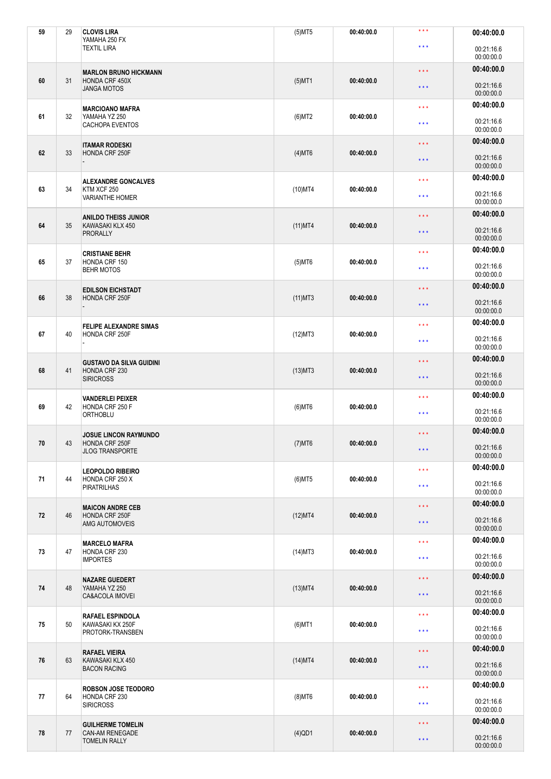| 59 | 29 | <b>CLOVIS LIRA</b><br>YAMAHA 250 FX                             | $(5)$ MT5  | 00:40:00.0              | $* * *$                 | 00:40:00.0               |
|----|----|-----------------------------------------------------------------|------------|-------------------------|-------------------------|--------------------------|
|    |    | <b>TEXTIL LIRA</b>                                              |            |                         | $***$                   | 00:21:16.6<br>00:00:00.0 |
|    |    | <b>MARLON BRUNO HICKMANN</b>                                    |            |                         | $***$                   | 00:40:00.0               |
| 60 | 31 | HONDA CRF 450X<br><b>JANGA MOTOS</b>                            | $(5)$ MT1  | 00:40:00.0              | $***$                   | 00:21:16.6<br>00:00:00.0 |
|    |    | <b>MARCIOANO MAFRA</b>                                          |            |                         | $***$                   | 00:40:00.0               |
| 61 | 32 | YAMAHA YZ 250<br><b>CACHOPA EVENTOS</b>                         | $(6)$ MT2  | 00:40:00.0              | $***$                   | 00:21:16.6<br>00:00:00.0 |
|    |    | <b>ITAMAR RODESKI</b>                                           |            |                         | $***$                   | 00:40:00.0               |
| 62 | 33 | HONDA CRF 250F                                                  | $(4)$ MT6  | 00:40:00.0              | $***$                   | 00:21:16.6<br>00:00:00.0 |
|    |    | <b>ALEXANDRE GONCALVES</b>                                      |            |                         | $***$                   | 00:40:00.0               |
| 63 | 34 | KTM XCF 250<br><b>VARIANTHE HOMER</b>                           | $(10)$ MT4 | 00:40:00.0              | $***$                   | 00:21:16.6<br>00:00:00.0 |
|    |    | <b>ANILDO THEISS JUNIOR</b>                                     |            |                         | $***$                   | 00:40:00.0               |
| 64 | 35 | KAWASAKI KLX 450<br><b>PRORALLY</b>                             | $(11)$ MT4 | 00:40:00.0              | $***$                   | 00:21:16.6<br>00:00:00.0 |
|    |    | <b>CRISTIANE BEHR</b>                                           |            |                         | $***$                   | 00:40:00.0               |
| 65 | 37 | HONDA CRF 150<br><b>BEHR MOTOS</b>                              | $(5)$ MT6  | 00:40:00.0              | $***$                   | 00:21:16.6<br>00:00:00.0 |
|    |    | <b>EDILSON EICHSTADT</b>                                        |            |                         | $***$                   | 00:40:00.0               |
| 66 | 38 | HONDA CRF 250F                                                  | $(11)$ MT3 | 00:40:00.0              | $***$                   | 00:21:16.6<br>00:00:00.0 |
|    |    | <b>FELIPE ALEXANDRE SIMAS</b>                                   |            |                         | $***$                   | 00:40:00.0               |
| 67 | 40 | HONDA CRF 250F                                                  | $(12)$ MT3 | 00:40:00.0              | $***$                   | 00:21:16.6<br>00:00:00.0 |
|    |    | <b>GUSTAVO DA SILVA GUIDINI</b>                                 |            |                         | $***$                   | 00:40:00.0               |
| 68 | 41 | HONDA CRF 230<br><b>SIRICROSS</b>                               | $(13)$ MT3 | 00:40:00.0              | $***$                   | 00:21:16.6<br>00:00:00.0 |
|    |    | <b>VANDERLEI PEIXER</b>                                         |            |                         | $***$                   | 00:40:00.0               |
| 69 | 42 | HONDA CRF 250 F<br><b>ORTHOBLU</b>                              | $(6)$ MT6  | 00:40:00.0              | $***$                   | 00:21:16.6<br>00:00:00.0 |
|    |    | <b>JOSUE LINCON RAYMUNDO</b>                                    |            |                         | $***$                   | 00:40:00.0               |
| 70 | 43 | HONDA CRF 250F<br><b>JLOG TRANSPORTE</b>                        | $(7)$ MT6  | 00:40:00.0              | $***$                   | 00:21:16.6<br>00:00:00.0 |
|    |    | <b>LEOPOLDO RIBEIRO</b>                                         |            |                         | $\star$ $\star$ $\star$ | 00:40:00.0               |
| 71 | 44 | HONDA CRF 250 X<br><b>PIRATRILHAS</b>                           | $(6)$ MT5  | 00:40:00.0              | $***$                   | 00:21:16.6<br>00:00:00.0 |
|    |    |                                                                 |            |                         | $\star$ $\star$ $\star$ | 00:40:00.0               |
| 72 | 46 | <b>MAICON ANDRE CEB</b><br>HONDA CRF 250F                       | (12)MT4    | 00:40:00.0              | $***$                   | 00:21:16.6               |
|    |    | AMG AUTOMOVEIS                                                  |            |                         |                         | 00:00:00.0               |
|    |    | <b>MARCELO MAFRA</b>                                            |            |                         | $***$                   | 00:40:00.0               |
| 73 | 47 | HONDA CRF 230<br><b>IMPORTES</b>                                | $(14)$ MT3 | 00:40:00.0              | $\star$ $\star$ $\star$ | 00:21:16.6<br>00:00:00.0 |
|    |    | <b>NAZARE GUEDERT</b>                                           |            |                         | $***$                   | 00:40:00.0               |
| 74 | 48 | YAMAHA YZ 250<br>CA&ACOLA IMOVEI                                | $(13)$ MT4 | 00:40:00.0              | $***$                   | 00:21:16.6<br>00:00:00.0 |
|    | 50 | <b>RAFAEL ESPINDOLA</b><br>KAWASAKI KX 250F<br>PROTORK-TRANSBEN |            | $(6)$ MT1<br>00:40:00.0 | $***$                   | 00:40:00.0               |
| 75 |    |                                                                 |            |                         | $***$                   | 00:21:16.6<br>00:00:00.0 |
|    |    | <b>RAFAEL VIEIRA</b><br>KAWASAKI KLX 450<br><b>BACON RACING</b> |            | 00:40:00.0              | $***$                   | 00:40:00.0               |
| 76 | 63 |                                                                 | $(14)$ MT4 |                         | $***$                   | 00:21:16.6<br>00:00:00.0 |
|    |    | <b>ROBSON JOSE TEODORO</b>                                      |            |                         | $\star$ $\star$ $\star$ | 00:40:00.0               |
| 77 | 64 | HONDA CRF 230<br><b>SIRICROSS</b>                               | $(8)$ MT6  | 00:40:00.0              | $***$                   | 00:21:16.6<br>00:00:00.0 |
|    |    | <b>GUILHERME TOMELIN</b>                                        |            |                         | $***$                   | 00:40:00.0               |
| 78 | 77 | <b>CAN-AM RENEGADE</b><br><b>TOMELIN RALLY</b>                  | $(4)$ QD1  | 00:40:00.0              | $***$                   | 00:21:16.6<br>00:00:00.0 |